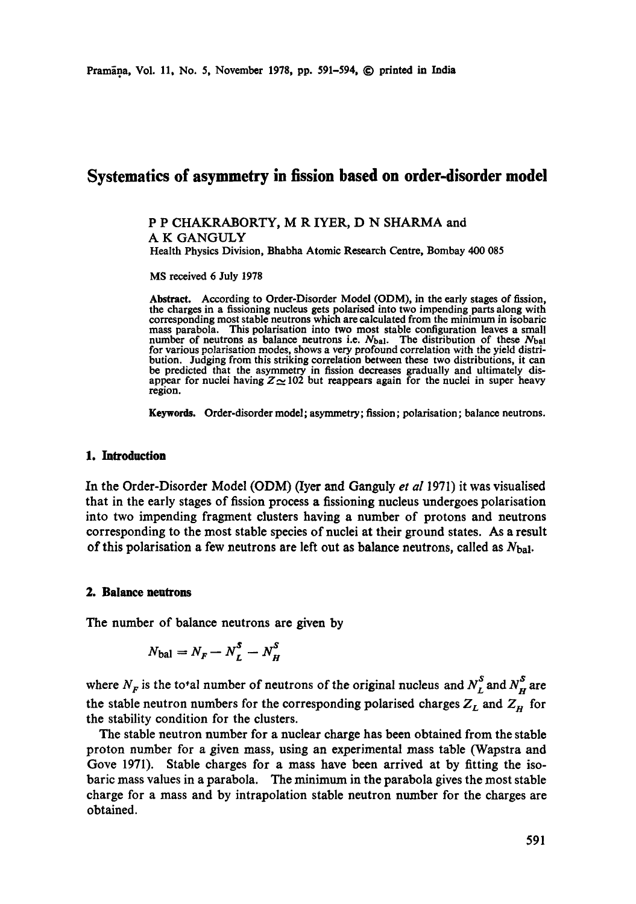## **Systematics of asymmetry in fission based on order-disorder model**

P P CHAKRABORTY, M R IYER, D N SHARMA and A K GANGULY Health Physics Division, Bhabha Atomic Research Centre, Bombay 400 085

MS received 6 July 1978

Abstract. According to Order-Disorder Model (ODM), in the early stages of fission, the charges in a fissioning nucleus gets polarised into two impending parts along with corresponding most stable neutrons which are calculated from the minimum in isobaric mass parabola. This polarisation into two most stable configuration leaves a small number of neutrons as balance neutrons i.e.  $N_{bal}$ . The distribution of these  $N_{bal}$ for various polarisation modes, shows a very profound correlation with the yield distribution. Judging from this striking correlation between these two distributions, it can be predicted that the asymmetry in fission decreases gradually and ultimately disappear for nuclei having  $Z \sim 102$  but reappears again for the nuclei in super heavy region.

**Keywords.** Order-disorder model; asymmetry; fission; polarisation; balance neutrons.

#### 1. **Introduction**

In the Order-Disorder Model (ODM) (Iyer and Ganguly *et al* 1971) it was visualised that in the early stages of fission process a fissioning nucleus undergoes polarisation into two impending fragment clusters having a number of protons and neutrons corresponding to the most stable species of nuclei at their ground states. As a result of this polarisation a few neutrons are left out as balance neutrons, called as  $N_{\text{bal}}$ .

#### **2. Balance neutrons**

The number of balance neutrons are given by

$$
N_{\text{bal}} = N_F - N_L^S - N_H^S
$$

where  $N_F$  is the total number of neutrons of the original nucleus and  $N_F^S$  and  $N_F^S$  are the stable neutron numbers for the corresponding polarised charges  $Z_L$  and  $Z_H$  for the stability condition for the clusters.

The stable neutron number for a nuclear charge has been obtained from the stable proton number for a given mass, using an experimental mass table (Wapstra and Gove 1971). Stable charges for a mass have been arrived at by fitting the isobaric mass values in a parabola. The minimum in the parabola gives the most stable charge for a mass and by intrapolation stable neutron number for the charges are obtained.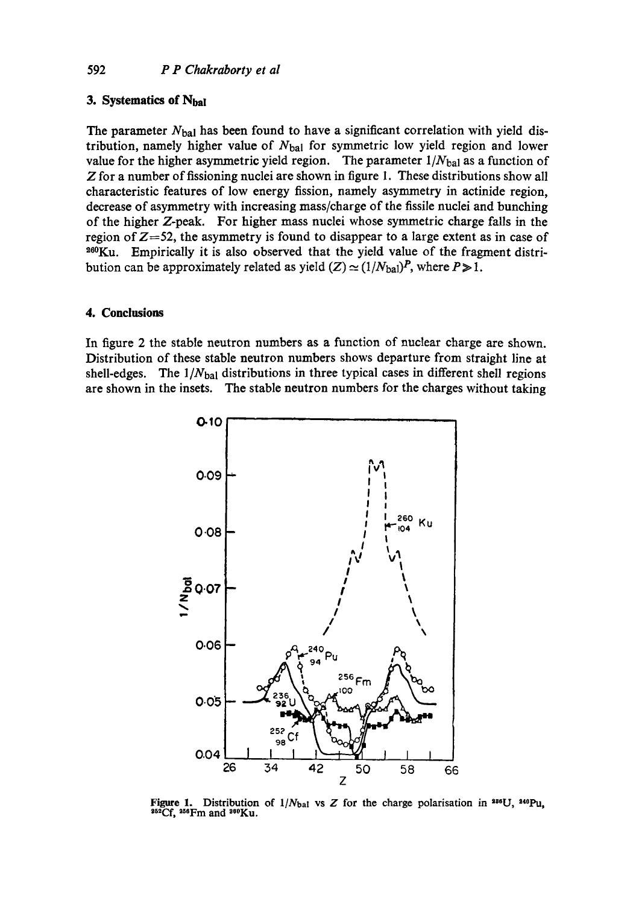## 592 *P P Chakraborty et al*

### **3. Systematies of Nbal**

The parameter  $N_{\text{bal}}$  has been found to have a significant correlation with yield distribution, namely higher value of  $N_{bal}$  for symmetric low yield region and lower value for the higher asymmetric yield region. The parameter  $1/N_{bal}$  as a function of Z for a number of fissioning nuclei are shown in figure 1. These distributions show all characteristic features of low energy fission, namely asymmetry in actinide region, decrease of asymmetry with increasing mass/charge of the fissile nuclei and bunching of the higher Z-peak. For higher mass nuclei whose symmetric charge falls in the region of  $Z=52$ , the asymmetry is found to disappear to a large extent as in case of <sup>260</sup>Ku. Empirically it is also observed that the yield value of the fragment distribution can be approximately related as yield  $(Z) \simeq (1/N_{\text{bal}})^P$ , where  $P \ge 1$ .

#### **4. Conclusions**

In figure 2 the stable neutron numbers as a function of nuclear charge are shown. Distribution of these stable neutron numbers shows departure from straight line at shell-edges. The  $1/N_{bal}$  distributions in three typical cases in different shell regions are shown in the insets. The stable neutron numbers for the charges without taking



Figure 1. Distribution of  $1/N_{\text{bal}}$  vs Z for the charge polarisation in  $^{288}U$ ,  $^{240}Pu$ ,  $^{282}Cf$ ,  $^{256}Fm$  and  $^{280}Ku$ .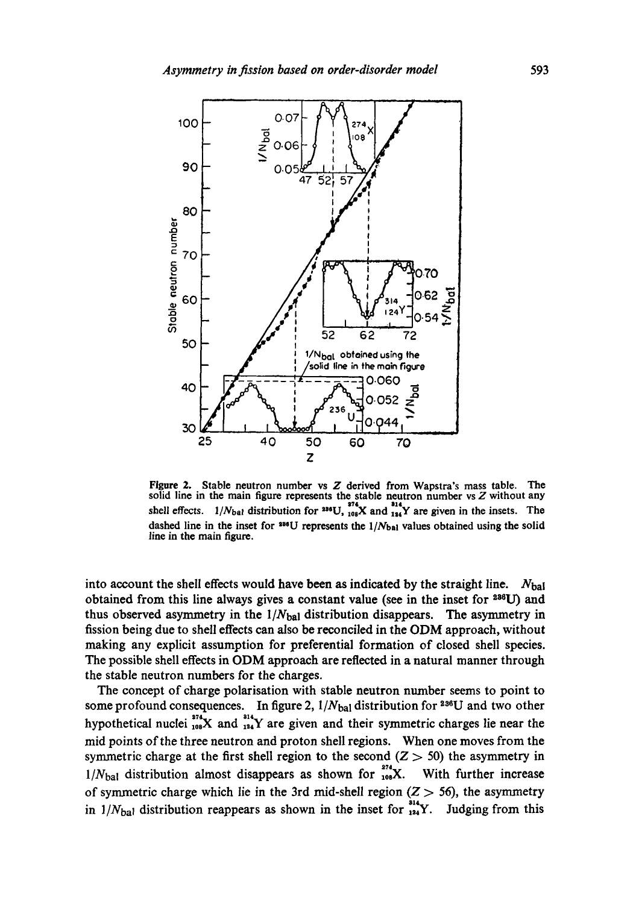

Figure 2. Stable neutron number vs Z derived from Wapstra's mass table. The solid line in the main figure represents the stable neutron number vs Z without any shell effects.  $1/N_{\text{bal}}$  distribution for <sup>336</sup>U,  $_{108}^{374}$ X and  $_{154}^{314}$ Y are given in the insets. The dashed line in the inset for  $336$ U represents the  $1/N_{bal}$  values obtained using the solid line in the main figure.

into account the shell effects would have been as indicated by the straight line.  $N_{\text{bal}}$ obtained from this line always gives a constant value (see in the inset for  $236$ U) and thus observed asymmetry in the  $1/N_{bal}$  distribution disappears. The asymmetry in fission being due to shell effects can also be reconciled in the ODM approach, without making any explicit assumption for preferential formation of closed shell species. The possible shell effects in ODM approach are reflected in a natural manner through the stable neutron numbers for the charges.

The concept of charge polarisation with stable neutron number seems to point to some profound consequences. In figure 2,  $1/N_{bal}$  distribution for <sup>236</sup>U and two other hypothetical nuclei  $_{108}^{374}X$  and  $_{124}^{314}Y$  are given and their symmetric charges lie near the mid points of the three neutron and proton shell regions. When one moves from the symmetric charge at the first shell region to the second  $(Z > 50)$  the asymmetry in  $1/N_{\text{bal}}$  distribution almost disappears as shown for  $_{108}^{274}$ X. With further increase of symmetric charge which lie in the 3rd mid-shell region  $(Z > 56)$ , the asymmetry in  $1/N_{\text{bal}}$  distribution reappears as shown in the inset for  $_{144}^{314}$ Y. Judging from this